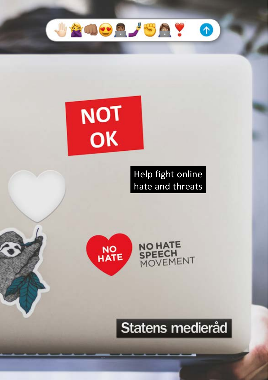

# **NOT** OK

### Help fight online hate and threats

**NO HATE** 

SPEECH<br>MOVEMENT



# Statens medieråd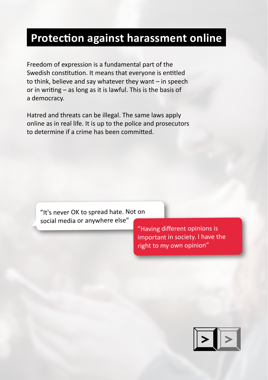### **Protection against harassment online**

Freedom of expression is a fundamental part of the Swedish constitution. It means that everyone is entitled to think, believe and say whatever they want – in speech or in writing – as long as it is lawful. This is the basis of a democracy.

Hatred and threats can be illegal. The same laws apply online as in real life. It is up to the police and prosecutors to determine if a crime has been committed.

"It's never OK to spread hate. Not on social media or anywhere else"

> "Having different opinions is important in society. I have the right to my own opinion"

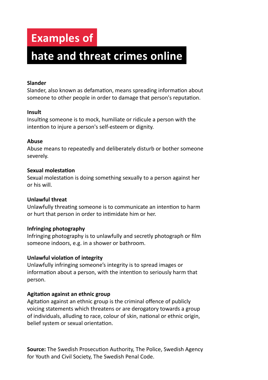### **Examples of**

## **hate and threat crimes online**

#### **Slander**

Slander, also known as defamation, means spreading information about someone to other people in order to damage that person's reputation.

#### **Insult**

Insulting someone is to mock, humiliate or ridicule a person with the intention to injure a person's self-esteem or dignity.

#### **Abuse**

Abuse means to repeatedly and deliberately disturb or bother someone severely.

#### **Sexual molestation**

Sexual molestation is doing something sexually to a person against her or his will.

#### **Unlawful threat**

Unlawfully threating someone is to communicate an intention to harm or hurt that person in order to intimidate him or her.

#### **Infringing photography**

Infringing photography is to unlawfully and secretly photograph or film someone indoors, e.g. in a shower or bathroom.

#### **Unlawful violation of integrity**

Unlawfully infringing someone's integrity is to spread images or information about a person, with the intention to seriously harm that person.

#### **Agitation against an ethnic group**

Agitation against an ethnic group is the criminal offence of publicly voicing statements which threatens or are derogatory towards a group of individuals, alluding to race, colour of skin, national or ethnic origin, belief system or sexual orientation.

**Source:** The Swedish Prosecution Authority, The Police, Swedish Agency for Youth and Civil Society, The Swedish Penal Code.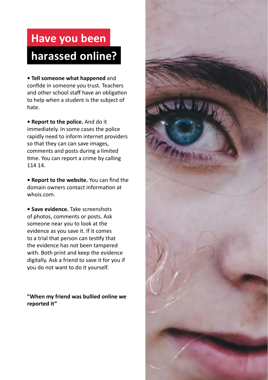# **Have you been harassed online?**

**• Tell someone what happened** and confide in someone you trust. Teachers and other school staff have an obligation to help when a student is the subject of hate.

**• Report to the police.** And do it immediately. In some cases the police rapidly need to inform internet providers so that they can can save images, comments and posts during a limited time. You can report a crime by calling 114 14.

**• Report to the website.** You can find the domain owners contact information at whois.com.

**• Save evidence.** Take screenshots of photos, comments or posts. Ask someone near you to look at the evidence as you save it. If it comes to a trial that person can testify that the evidence has not been tampered with. Both print and keep the evidence digitally. Ask a friend to save it for you if you do not want to do it yourself.

**"When my friend was bullied online we reported it"**

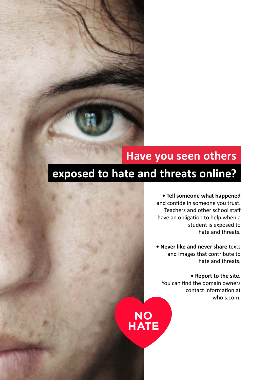### **Have you seen others**

### **exposed to hate and threats online?**

**• Tell someone what happened**  and confide in someone you trust. Teachers and other school staff have an obligation to help when a student is exposed to hate and threats.

**• Never like and never share** texts and images that contribute to hate and threats.

**• Report to the site.** You can find the domain owners contact information at whois.com.

NO<br>HATE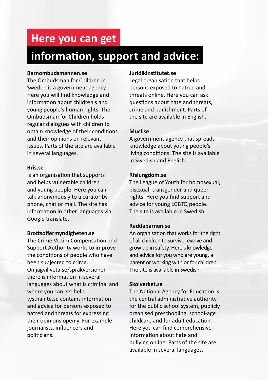### **Here you can get**

### **information, support and advice:**

#### **Barnombudsmannen.se**

The Ombudsman for Children in Sweden is a government agency. Here you will find knowledge and information about children's and young people's human rights. The Ombudsman for Children holds regular dialogues with children to obtain knowledge of their conditions and their opinions on relevant issues. Parts of the site are available in several languages.

#### **Bris.se**

Is an organisation that supports and helps vulnerable children and young people. Here you can talk anonymously to a curator by phone, chat or mail. The site has information in other languages via Google translate.

#### **Brottsoffermyndigheten.se**

The Crime Victim Compensation and Support Authority works to improve the conditions of people who have been subjected to crime. On jagvillveta.se/sprakversioner there is information in several languages about what is criminal and where you can get help. tystnainte.se contains information and advice for persons exposed to hatred and threats for expressing their opinions openly. For example journalists, influencers and politicians.

#### **Juridikinstitutet.se**

Legal organisation that helps persons exposed to hatred and threats online. Here you can ask questions about hate and threats, crime and punishment. Parts of the site are available in English.

#### **Mucf.se**

A government agency that spreads knowledge about young people's living conditions. The site is available in Swedish and English.

#### **Rfslungdom.se**

The League of Youth for homosexual, bisexual, transgender and queer rights. Here you find support and advice for young LGBTQ people. The site is available in Swedish.

#### **Raddabarnen.se**

An organisation that works for the right of all children to survive, evolve and grow up in safety. Here's knowledge and advice for you who are young, a parent or working with or for children. The site is available in Swedish.

#### **Skolverket.se**

The National Agency for Education is the central administrative authority for the public school system, publicly organised preschooling, school-age childcare and for adult education. Here you can find comprehensive information about hate and bullying online. Parts of the site are available in several languages.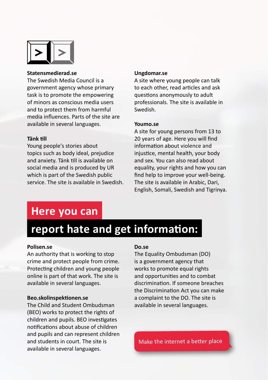

#### **Statensmedierad.se**

The Swedish Media Council is a government agency whose primary task is to promote the empowering of minors as conscious media users and to protect them from harmful media influences. Parts of the site are available in several languages.

#### **Tänk till**

Young people's stories about topics such as body ideal, prejudice and anxiety. Tänk till is available on social media and is produced by UR which is part of the Swedish public service. The site is available in Swedish.

#### **Ungdomar.se**

A site where young people can talk to each other, read articles and ask questions anonymously to adult professionals. The site is available in Swedish.

#### **Youmo.se**

A site for young persons from 13 to 20 years of age. Here you will find information about violence and injustice, mental health, your body and sex. You can also read about equality, your rights and how you can find help to improve your well-being. The site is available in Arabic, Dari, English, Somali, Swedish and Tigrinya.

### **Here you can**

### **report hate and get information:**

#### **Polisen.se**

An authority that is working to stop crime and protect people from crime. Protecting children and young people online is part of that work. The site is available in several languages.

#### **Beo.skolinspektionen.se**

The Child and Student Ombudsman (BEO) works to protect the rights of children and pupils. BEO investigates notifications about abuse of children and pupils and can represent children and students in court. The site is available in several languages.

#### **Do.se**

The Equality Ombudsman (DO) is a government agency that works to promote equal rights and opportunities and to combat discrimination. If someone breaches the Discrimination Act you can make a complaint to the DO. The site is available in several languages.

Make the internet a better place